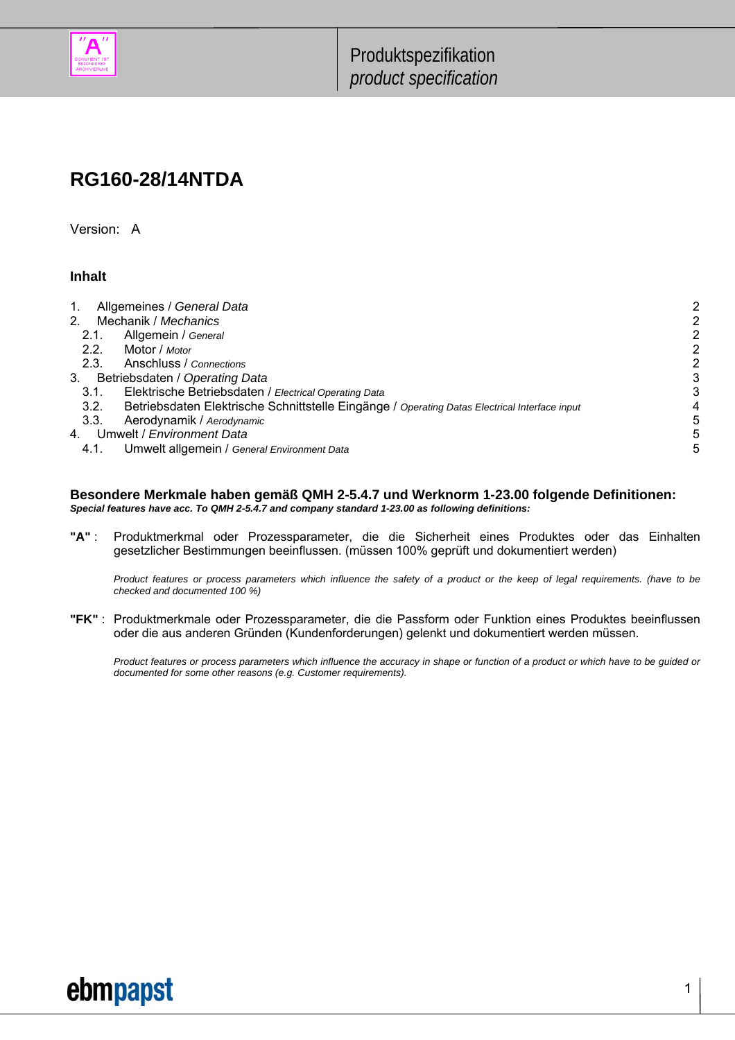

## **RG160-28/14NTDA**

Version: A

#### **Inhalt**

| Allgemeines / General Data<br>1.                                                                      |   |
|-------------------------------------------------------------------------------------------------------|---|
| 2 <sub>1</sub><br>Mechanik / Mechanics                                                                |   |
| Allgemein / General<br>2.1.                                                                           | 2 |
| 2.2.<br>Motor / Motor                                                                                 |   |
| 2.3.<br>Anschluss / Connections                                                                       |   |
| Betriebsdaten / Operating Data<br>3.                                                                  | 3 |
| Elektrische Betriebsdaten / Electrical Operating Data<br>3.1.                                         | 3 |
| 3.2.<br>Betriebsdaten Elektrische Schnittstelle Eingänge / Operating Datas Electrical Interface input |   |
| 3.3.<br>Aerodynamik / Aerodynamic                                                                     | 5 |
| Umwelt / Environment Data<br>4.                                                                       | 5 |
| Umwelt allgemein / General Environment Data<br>4.1.                                                   | 5 |
|                                                                                                       |   |

#### **Besondere Merkmale haben gemäß QMH 2-5.4.7 und Werknorm 1-23.00 folgende Definitionen:**  *Special features have acc. To QMH 2-5.4.7 and company standard 1-23.00 as following definitions:*

**"A"** : Produktmerkmal oder Prozessparameter, die die Sicherheit eines Produktes oder das Einhalten gesetzlicher Bestimmungen beeinflussen. (müssen 100% geprüft und dokumentiert werden)

 *Product features or process parameters which influence the safety of a product or the keep of legal requirements. (have to be checked and documented 100 %)*

**"FK"** : Produktmerkmale oder Prozessparameter, die die Passform oder Funktion eines Produktes beeinflussen oder die aus anderen Gründen (Kundenforderungen) gelenkt und dokumentiert werden müssen.

 *Product features or process parameters which influence the accuracy in shape or function of a product or which have to be guided or documented for some other reasons (e.g. Customer requirements).* 



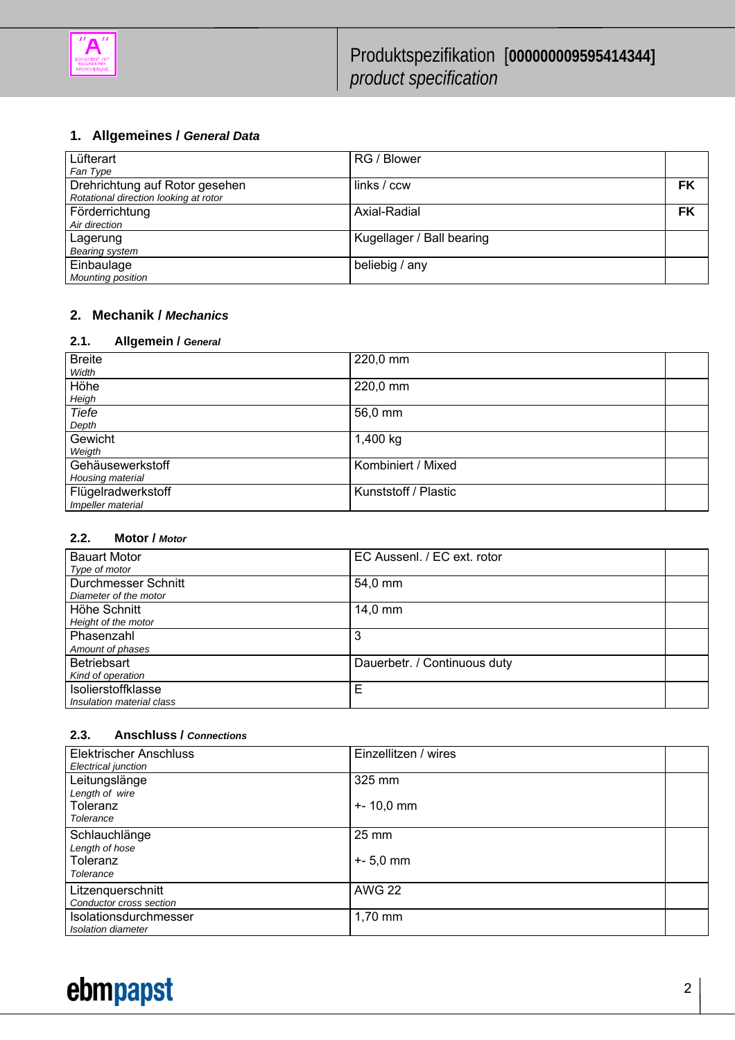

### **1. Allgemeines /** *General Data*

| Lüfterart                             | RG / Blower               |    |
|---------------------------------------|---------------------------|----|
| Fan Type                              |                           |    |
| Drehrichtung auf Rotor gesehen        | links / ccw               | FK |
| Rotational direction looking at rotor |                           |    |
| Förderrichtung                        | Axial-Radial              | FK |
| Air direction                         |                           |    |
| Lagerung                              | Kugellager / Ball bearing |    |
| Bearing system                        |                           |    |
| Einbaulage                            | beliebig / any            |    |
| <b>Mounting position</b>              |                           |    |

#### **2. Mechanik /** *Mechanics*

#### **2.1. Allgemein /** *General*

| <b>Breite</b><br>Width                  | 220,0 mm             |  |
|-----------------------------------------|----------------------|--|
| Höhe<br>Heigh                           | 220,0 mm             |  |
| <b>Tiefe</b><br>Depth                   | 56,0 mm              |  |
| Gewicht<br>Weigth                       | 1,400 kg             |  |
| Gehäusewerkstoff<br>Housing material    | Kombiniert / Mixed   |  |
| Flügelradwerkstoff<br>Impeller material | Kunststoff / Plastic |  |

#### **2.2. Motor /** *Motor*

| <b>Bauart Motor</b><br>Type of motor            | EC Aussenl. / EC ext. rotor  |  |
|-------------------------------------------------|------------------------------|--|
| Durchmesser Schnitt<br>Diameter of the motor    | 54,0 mm                      |  |
| Höhe Schnitt<br>Height of the motor             | 14,0 mm                      |  |
| Phasenzahl<br>Amount of phases                  |                              |  |
| <b>Betriebsart</b><br>Kind of operation         | Dauerbetr. / Continuous duty |  |
| Isolierstoffklasse<br>Insulation material class | Е                            |  |

#### **2.3. Anschluss /** *Connections*

| <b>Elektrischer Anschluss</b><br>Electrical junction            | Einzellitzen / wires              |  |
|-----------------------------------------------------------------|-----------------------------------|--|
| Leitungslänge<br>Length of wire<br>Toleranz<br>Tolerance        | 325 mm<br>$+ - 10,0$ mm           |  |
| Schlauchlänge<br>Length of hose<br>Toleranz<br><b>Tolerance</b> | $25 \, \text{mm}$<br>$+ - 5,0$ mm |  |
| Litzenquerschnitt<br>Conductor cross section                    | <b>AWG 22</b>                     |  |
| Isolationsdurchmesser<br>Isolation diameter                     | 1,70 mm                           |  |

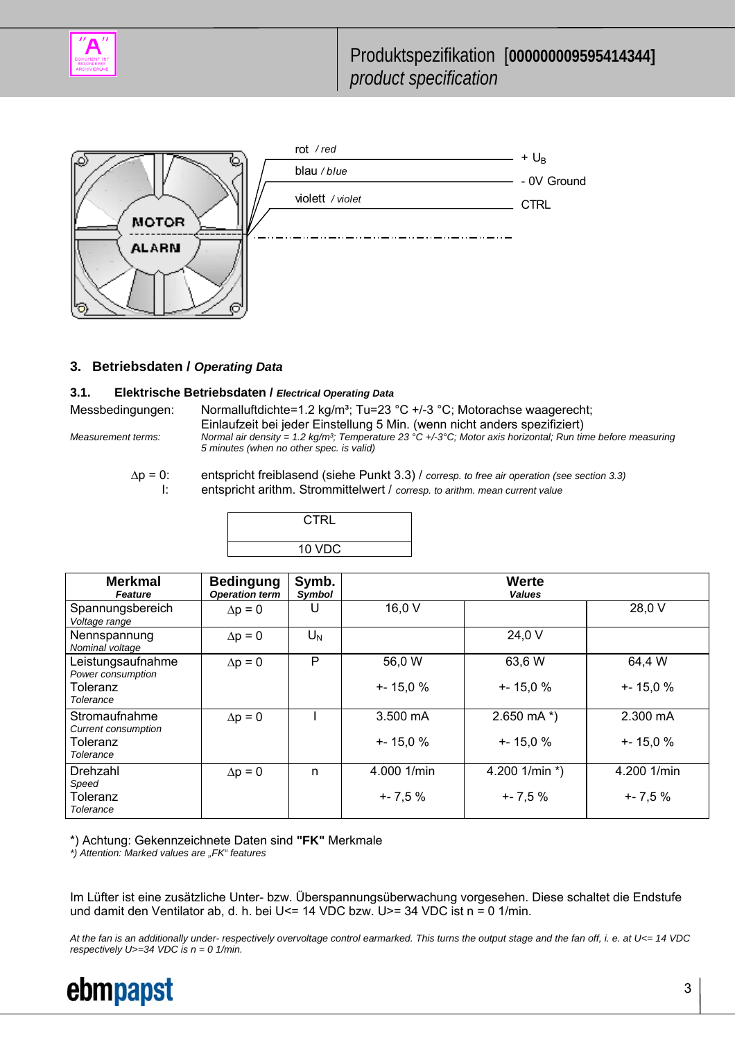



#### **3. Betriebsdaten /** *Operating Data*

#### **3.1. Elektrische Betriebsdaten /** *Electrical Operating Data*

Messbedingungen: Normalluftdichte=1.2 kg/m<sup>3</sup>; Tu=23 °C +/-3 °C; Motorachse waagerecht; Einlaufzeit bei jeder Einstellung 5 Min. (wenn nicht anders spezifiziert)<br>Measurement terms: Mormal air density = 1.2 kg/m<sup>3</sup>; Temperature 23 °C +/-3°C; Motor axis horizontal; Run tir *Mormal air density = 1.2 kg/m<sup>3</sup>; Temperature 23 °C +/-3°C; Motor axis horizontal; Run time before measuring 5 minutes (when no other spec. is valid)* 

 ∆p = 0: entspricht freiblasend (siehe Punkt 3.3) / *corresp. to free air operation (see section 3.3)* I: entspricht arithm. Strommittelwert / *corresp. to arithm. mean current value*

**CTRL** 

10 VDC

|                                                                             |                                           | טש עו           |                                   |                               |                                    |
|-----------------------------------------------------------------------------|-------------------------------------------|-----------------|-----------------------------------|-------------------------------|------------------------------------|
| <b>Merkmal</b><br>Feature                                                   | <b>Bedingung</b><br><b>Operation term</b> | Symb.<br>Symbol |                                   | Werte<br><b>Values</b>        |                                    |
| Spannungsbereich<br>Voltage range                                           | $\Delta p = 0$                            |                 | 16,0 V                            |                               | 28,0 V                             |
| Nennspannung<br>Nominal voltage                                             | $\Delta p = 0$                            | $U_N$           |                                   | 24,0 V                        |                                    |
| Leistungsaufnahme<br>Power consumption<br>Toleranz<br><b>Tolerance</b>      | $\Delta p = 0$                            | P               | 56,0 W<br>$+ - 15.0 %$            | 63,6 W<br>$+ - 15.0 %$        | 64,4 W<br>$+ - 15.0 \%$            |
| Stromaufnahme<br><b>Current consumption</b><br>Toleranz<br><b>Tolerance</b> | $\Delta p = 0$                            |                 | $3.500 \text{ mA}$<br>$+ - 15,0%$ | 2.650 mA $*$ )<br>$+ - 15,0%$ | $2.300 \text{ mA}$<br>$+ - 15.0 %$ |
| Drehzahl<br>Speed<br>Toleranz<br>Tolerance                                  | $\Delta p = 0$                            | n               | 4.000 1/min<br>$+ - 7,5%$         | 4.200 1/min *)<br>$+ - 7,5%$  | 4.200 1/min<br>$+ - 7,5%$          |

\*) Achtung: Gekennzeichnete Daten sind **"FK"** Merkmale

*\*) Attention: Marked values are "FK" features* 

Im Lüfter ist eine zusätzliche Unter- bzw. Überspannungsüberwachung vorgesehen. Diese schaltet die Endstufe und damit den Ventilator ab, d. h. bei U<= 14 VDC bzw. U>= 34 VDC ist n = 0 1/min.

*At the fan is an additionally under- respectively overvoltage control earmarked. This turns the output stage and the fan off, i. e. at U<= 14 VDC respectively U>=34 VDC is n = 0 1/min.* 



3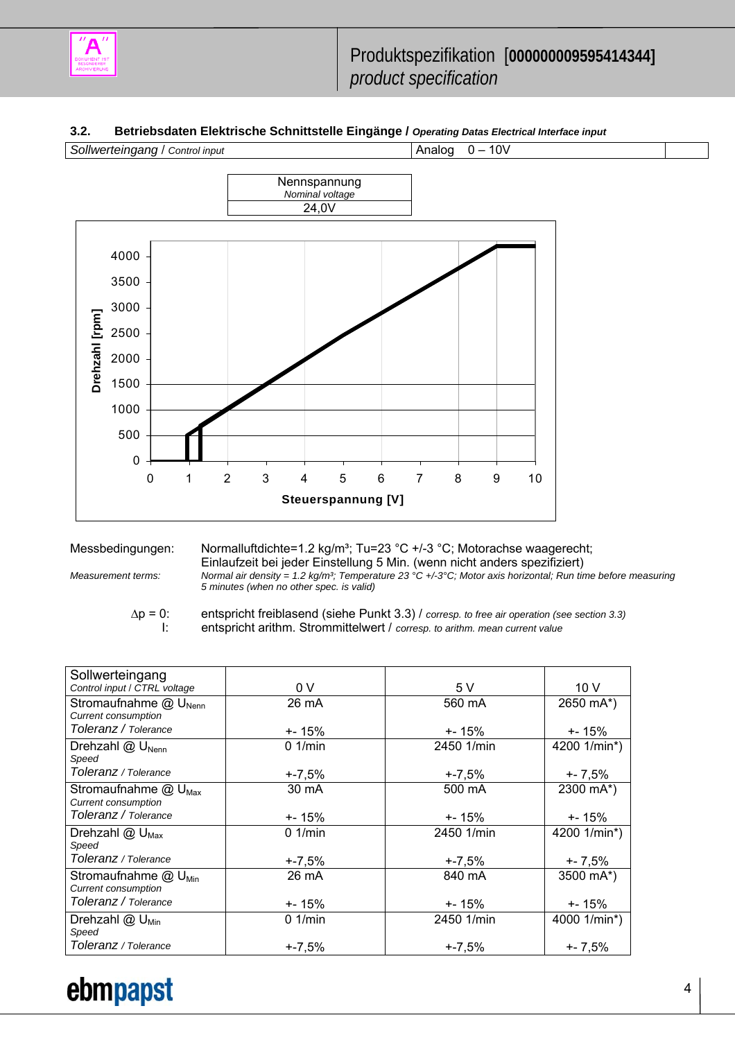

#### **3.2. Betriebsdaten Elektrische Schnittstelle Eingänge /** *Operating Datas Electrical Interface input*



Messbedingungen: Normalluftdichte=1.2 kg/m<sup>3</sup>; Tu=23 °C +/-3 °C; Motorachse waagerecht; Einlaufzeit bei jeder Einstellung 5 Min. (wenn nicht anders spezifiziert)<br>Measurement terms: Normal air density = 1.2 kg/m<sup>3</sup>; Temperature 23 °C +/-3°C; Motor axis horizontal; Run tir *Mormal air density = 1.2 kg/m<sup>3</sup>; Temperature 23 °C +/-3°C; Motor axis horizontal; Run time before measuring 5 minutes (when no other spec. is valid)* 

 ∆p = 0: entspricht freiblasend (siehe Punkt 3.3) / *corresp. to free air operation (see section 3.3)* I: entspricht arithm. Strommittelwert / *corresp. to arithm. mean current value*

| Sollwerteingang                                                 |            |            |                 |
|-----------------------------------------------------------------|------------|------------|-----------------|
| Control input / CTRL voltage                                    | 0V         | 5V         | 10 <sub>V</sub> |
| Stromaufnahme @ U <sub>Nenn</sub><br><b>Current consumption</b> | 26 mA      | 560 mA     | 2650 mA*)       |
| Toleranz / Tolerance                                            | +- 15%     | +- 15%     | +- 15%          |
| Drehzahl $@$ U <sub>Nenn</sub><br>Speed                         | $0.1$ /min | 2450 1/min | 4200 1/min*)    |
| Toleranz / Tolerance                                            | +-7,5%     | +-7,5%     | $+ - 7,5%$      |
| Stromaufnahme @ U <sub>Max</sub><br><b>Current consumption</b>  | 30 mA      | 500 mA     | 2300 mA*)       |
| Toleranz / Tolerance                                            | +- 15%     | +- 15%     | +- 15%          |
| Drehzahl $@$ U <sub>Max</sub><br>Speed                          | $0.1$ /min | 2450 1/min | 4200 1/min*)    |
| Toleranz / Tolerance                                            | $+ -7,5%$  | $+ -7,5%$  | $+ - 7,5%$      |
| Stromaufnahme @ U <sub>Min</sub><br><b>Current consumption</b>  | 26 mA      | 840 mA     | 3500 mA*)       |
| Toleranz / Tolerance                                            | +- 15%     | +- 15%     | $+ - 15%$       |
| Drehzahl @ U <sub>Min</sub><br>Speed                            | $0.1$ /min | 2450 1/min | 4000 1/min*)    |
| Toleranz / Tolerance                                            | $+ -7.5%$  | $+ -7.5%$  | $+ - 7.5%$      |

# ebmpapst